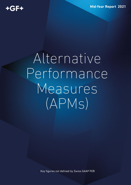**Mid-Year Report 2021** 

## Alternative Performance Measures  $(APMS)$

Key figures not defined by Swiss GAAP FER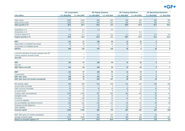## $+GF+$

| <b>CHF million</b>                                                                   | <b>GF Corporation</b> |                | <b>GF Piping Systems</b> |                | <b>GF Casting Solutions</b> |                | <b>GF Machining Solutions</b> |                      |
|--------------------------------------------------------------------------------------|-----------------------|----------------|--------------------------|----------------|-----------------------------|----------------|-------------------------------|----------------------|
|                                                                                      | 1.1.-30.6.2021        | 1.1.-30.6.2020 | 1.1.-30.6.2021           | 1.1.-30.6.2020 | 1.1.-30.6.2021              | 1.1.-30.6.2020 | 1.1.-30.6.2021                | 1.1.-30.6.2020       |
|                                                                                      | 1'835                 | 1'528          | 983                      |                | 459                         | 328            | 393                           |                      |
| Sales actual                                                                         |                       |                |                          | 845            |                             |                |                               | 355                  |
| Sales previous year                                                                  | 1'528                 | 1'915          | 845                      | 921            | 328                         | 521            | 355                           | 474                  |
| Sales growth in %                                                                    | 20.1                  | $-20.2$        | 16.3                     | $-8.3$         | 39.9                        | $-37.0$        | 10.7                          | $-25.1$              |
| Acquisitions in %                                                                    | 0.7                   | 0.2            | 1.3                      | 0.4            |                             |                |                               |                      |
| Divestments in %                                                                     |                       | $-2.2$         |                          |                |                             | $-8.1$         |                               |                      |
| Currency impact in %                                                                 | $-0.6$                | $-4.7$         | $-1.4$                   | $-5.4$         | 1.7                         | $-3.9$         | $-0.7$                        | $-3.9$               |
| Organic growth in %                                                                  | 20.0                  | $-14.0$        | 16.4                     | $-3.1$         | 38.3                        | $-27.6$        | 11.4                          | $-21.3$              |
|                                                                                      |                       |                |                          |                |                             |                |                               |                      |
| <b>EBIT</b>                                                                          | 141                   | 57             | 128                      | 94             | 13                          | $-32$          | 9                             | $\blacktriangleleft$ |
| Depreciation on tangible fixed assets                                                | 65                    | 58             | 27                       | 24             | 28                          | 25             | $6\phantom{1}$                | 6                    |
| Amortization on intangible assets                                                    | $\overline{3}$        | 3              | $\overline{2}$           | $\overline{1}$ | $\overline{1}$              | $\overline{1}$ | $\mathbf{1}$                  | $\overline{1}$       |
| <b>EBITDA</b>                                                                        | 209                   | 118            | 157                      | 119            | 42                          | -6             | 16                            | 8                    |
|                                                                                      |                       |                |                          |                |                             |                |                               |                      |
| Loss from relocation of foundry activities from GF<br>Casting Solutions Werdohl GmbH |                       | $\overline{7}$ |                          |                |                             | $\overline{7}$ |                               |                      |
| One-offs                                                                             |                       | $\overline{7}$ |                          |                |                             | $\overline{7}$ |                               |                      |
|                                                                                      |                       |                |                          |                |                             |                |                               |                      |
| <b>EBIT</b>                                                                          | 141                   | 57             | 128                      | 94             | 13                          | $-32$          | 9                             | $\mathbf{1}$         |
| One-offs                                                                             |                       | $\overline{7}$ |                          |                |                             | $\overline{7}$ |                               |                      |
| <b>EBIT before one-offs</b>                                                          | 141                   | 64             | 128                      | 94             | 13                          | $-25$          | 9                             | $\mathbf{1}$         |
|                                                                                      |                       |                |                          |                |                             |                |                               |                      |
| <b>EBIT</b>                                                                          | 141                   | 57             | 128                      | 94             | 13                          | $-32$          | 9                             | $\mathbf{1}$         |
| <b>Current taxes</b>                                                                 | $-32$                 | $-20$          | $-27$                    | $-21$          | $-3$                        | 10             | $-3$                          |                      |
| <b>EBIT after taxes</b>                                                              | 109                   | 38             | 101                      | 73             | 10                          | $-22$          | $6\phantom{1}$                | $\mathbf{1}$         |
| EBIT after taxes (12 months annualized)                                              | 218                   | 75             | 203                      | 147            | 20                          | $-44$          | 13                            | $\mathbf{2}$         |
|                                                                                      |                       |                |                          |                |                             |                |                               |                      |
| Net working capital                                                                  | 858                   | 938            | 532                      | 528            | 141                         | 167            | 183                           | 249                  |
| Income taxes receivable                                                              | 21                    | 21             | 3                        | 2              | $\overline{2}$              | 3              | 2                             | 6                    |
| Other accounts receivable                                                            | 66                    | 67             | 33                       | 32             | 12                          | 13             | 15                            | 15                   |
| Accrued income                                                                       | 21                    | 27             | 8                        | 9              | 6                           | 12             | $5\phantom{.0}$               | $\overline{4}$       |
| Property, plant, and equipment                                                       | 1'038                 | 1'040          | 367                      | 366            | 462                         | 461            | 85                            | 87                   |
| Intangible assets                                                                    | 39                    | 33             | 22                       | 20             | 6                           | 5              | 10                            | 8                    |
| Provisions                                                                           | $-133$                | $-148$         | $-43$                    | $-35$          | $-41$                       | $-57$          | $-20$                         | $-30$                |
| <b>Current tax liabilities</b>                                                       | $-55$                 | $-51$          | $-18$                    | $-16$          | $-1$                        | $-2$           | $-6$                          | $-8$                 |
| Accrued liabilities and deferred income                                              | $-266$                | $-231$         | $-146$                   | $-115$         | $-52$                       | $-51$          | $-58$                         | $-58$                |
| Employee benefit obligations                                                         | $-54$                 | $-53$          | $-26$                    | $-27$          | $-14$                       | $-14$          | $-9$                          | $-7$                 |
| Other liabilities                                                                    | $-94$                 | $-98$          | $-38$                    | $-31$          | $-35$                       | $-43$          | $-20$                         | $-18$                |
| <b>Invested capital</b>                                                              | 1'440                 | 1'545          | 693                      | 733            | 487                         | 493            | 187                           | 248                  |
|                                                                                      |                       |                |                          |                |                             |                |                               |                      |
| EBIT after taxes (12 months annualized)                                              | 218                   | 75             | 203                      | 147            | 20                          | $-44$          | 13                            | $\overline{1}$       |
| Average invested capital                                                             | 1'377                 | 1'509          | 643                      | 705            | 468                         | 485            | 192                           | 252<br>0.5           |
| Return on invested capital in %                                                      | 15.8                  | 5.0            | 31.6                     | 20.8           | 4.4                         | $-9.0$         | 6.6                           |                      |